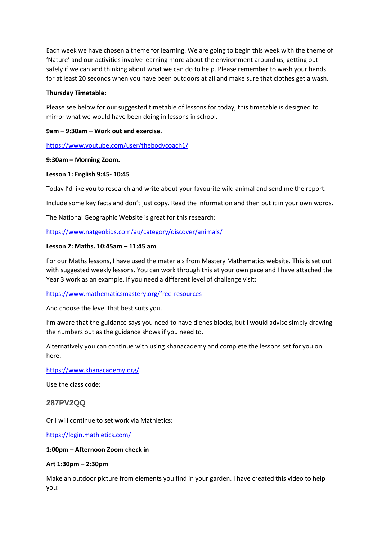Each week we have chosen a theme for learning. We are going to begin this week with the theme of 'Nature' and our activities involve learning more about the environment around us, getting out safely if we can and thinking about what we can do to help. Please remember to wash your hands for at least 20 seconds when you have been outdoors at all and make sure that clothes get a wash.

## **Thursday Timetable:**

Please see below for our suggested timetable of lessons for today, this timetable is designed to mirror what we would have been doing in lessons in school.

# **9am – 9:30am – Work out and exercise.**

<https://www.youtube.com/user/thebodycoach1/>

#### **9:30am – Morning Zoom.**

#### **Lesson 1: English 9:45- 10:45**

Today I'd like you to research and write about your favourite wild animal and send me the report.

Include some key facts and don't just copy. Read the information and then put it in your own words.

The National Geographic Website is great for this research:

<https://www.natgeokids.com/au/category/discover/animals/>

#### **Lesson 2: Maths. 10:45am – 11:45 am**

For our Maths lessons, I have used the materials from Mastery Mathematics website. This is set out with suggested weekly lessons. You can work through this at your own pace and I have attached the Year 3 work as an example. If you need a different level of challenge visit:

<https://www.mathematicsmastery.org/free-resources>

And choose the level that best suits you.

I'm aware that the guidance says you need to have dienes blocks, but I would advise simply drawing the numbers out as the guidance shows if you need to.

Alternatively you can continue with using khanacademy and complete the lessons set for you on here.

<https://www.khanacademy.org/>

Use the class code:

## **287PV2QQ**

Or I will continue to set work via Mathletics:

<https://login.mathletics.com/>

#### **1:00pm – Afternoon Zoom check in**

#### **Art 1:30pm – 2:30pm**

Make an outdoor picture from elements you find in your garden. I have created this video to help you: